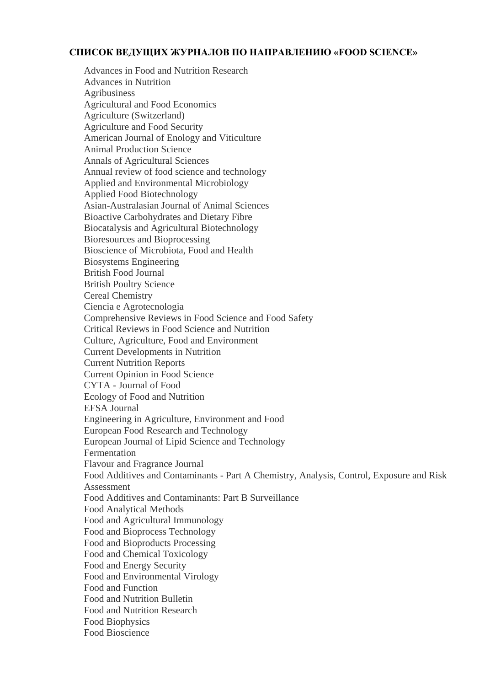## **СПИСОК ВЕДУЩИХ ЖУРНАЛОВ ПО НАПРАВЛЕНИЮ «FOOD SCIENCE»**

[Advances in Food and Nutrition Research](https://www.scopus.com/sourceid/29940?origin=sourceInfo&zone=refpointrank) [Advances in Nutrition](https://www.scopus.com/sourceid/21100202730?origin=sourceInfo&zone=refpointrank) [Agribusiness](https://www.scopus.com/sourceid/18700156722?origin=sourceInfo&zone=refpointrank) [Agricultural and Food Economics](https://www.scopus.com/sourceid/21100817122?origin=sourceInfo&zone=refpointrank) [Agriculture \(Switzerland\)](https://www.scopus.com/sourceid/21100781511?origin=sourceInfo&zone=refpointrank) [Agriculture and Food Security](https://www.scopus.com/sourceid/21100782678?origin=sourceInfo&zone=refpointrank) [American Journal of Enology and Viticulture](https://www.scopus.com/sourceid/27004?origin=sourceInfo&zone=refpointrank) [Animal Production Science](https://www.scopus.com/sourceid/16900154706?origin=sourceInfo&zone=refpointrank) [Annals of Agricultural Sciences](https://www.scopus.com/sourceid/21100823384?origin=sourceInfo&zone=refpointrank) [Annual review of food science and technology](https://www.scopus.com/sourceid/21100196101?origin=sourceInfo&zone=refpointrank) [Applied and Environmental Microbiology](https://www.scopus.com/sourceid/19618?origin=sourceInfo&zone=refpointrank) [Applied Food Biotechnology](https://www.scopus.com/sourceid/21100847272?origin=sourceInfo&zone=refpointrank) [Asian-Australasian Journal of Animal Sciences](https://www.scopus.com/sourceid/78414?origin=sourceInfo&zone=refpointrank) [Bioactive Carbohydrates and Dietary Fibre](https://www.scopus.com/sourceid/21100252806?origin=sourceInfo&zone=refpointrank) [Biocatalysis and Agricultural Biotechnology](https://www.scopus.com/sourceid/21100197945?origin=sourceInfo&zone=refpointrank) [Bioresources and Bioprocessing](https://www.scopus.com/sourceid/21100869488?origin=sourceInfo&zone=refpointrank) [Bioscience of Microbiota, Food and Health](https://www.scopus.com/sourceid/21100864540?origin=sourceInfo&zone=refpointrank) [Biosystems Engineering](https://www.scopus.com/sourceid/61490?origin=sourceInfo&zone=refpointrank) [British Food Journal](https://www.scopus.com/sourceid/144664?origin=sourceInfo&zone=refpointrank) [British Poultry Science](https://www.scopus.com/sourceid/39604?origin=sourceInfo&zone=refpointrank) [Cereal Chemistry](https://www.scopus.com/sourceid/21880?origin=sourceInfo&zone=refpointrank) [Ciencia e Agrotecnologia](https://www.scopus.com/sourceid/19200157040?origin=sourceInfo&zone=refpointrank) [Comprehensive Reviews in Food Science and Food Safety](https://www.scopus.com/sourceid/4900152301?origin=sourceInfo&zone=refpointrank) [Critical Reviews in Food](https://www.scopus.com/sourceid/21955?origin=sourceInfo&zone=refpointrank) Science and Nutrition [Culture, Agriculture, Food and Environment](https://www.scopus.com/sourceid/21100202708?origin=sourceInfo&zone=refpointrank) [Current Developments in Nutrition](https://www.scopus.com/sourceid/21100901909?origin=sourceInfo&zone=refpointrank) [Current Nutrition Reports](https://www.scopus.com/sourceid/21100854600?origin=sourceInfo&zone=refpointrank) [Current Opinion in Food Science](https://www.scopus.com/sourceid/21100370190?origin=sourceInfo&zone=refpointrank) CYTA - [Journal of Food](https://www.scopus.com/sourceid/19700201670?origin=sourceInfo&zone=refpointrank) [Ecology of Food and Nutrition](https://www.scopus.com/sourceid/12505?origin=sourceInfo&zone=refpointrank) [EFSA Journal](https://www.scopus.com/sourceid/21100899501?origin=sourceInfo&zone=refpointrank) [Engineering in Agriculture, Environment and Food](https://www.scopus.com/sourceid/19700201518?origin=sourceInfo&zone=refpointrank) [European Food Research and Technology](https://www.scopus.com/sourceid/23068?origin=sourceInfo&zone=refpointrank) [European Journal of Lipid Science and Technology](https://www.scopus.com/sourceid/12921?origin=sourceInfo&zone=refpointrank) [Fermentation](https://www.scopus.com/sourceid/21100900055?origin=sourceInfo&zone=refpointrank) [Flavour and Fragrance Journal](https://www.scopus.com/sourceid/25857?origin=sourceInfo&zone=refpointrank) Food Additives and Contaminants - [Part A Chemistry, Analysis, Control, Exposure and Risk](https://www.scopus.com/sourceid/18500157900?origin=sourceInfo&zone=refpointrank)  [Assessment](https://www.scopus.com/sourceid/18500157900?origin=sourceInfo&zone=refpointrank) [Food Additives and Contaminants: Part B Surveillance](https://www.scopus.com/sourceid/19400157146?origin=sourceInfo&zone=refpointrank) [Food Analytical Methods](https://www.scopus.com/sourceid/14500154701?origin=sourceInfo&zone=refpointrank) [Food and Agricultural Immunology](https://www.scopus.com/sourceid/15092?origin=sourceInfo&zone=refpointrank) [Food and Bioprocess Technology](https://www.scopus.com/sourceid/14200154736?origin=sourceInfo&zone=refpointrank) [Food and Bioproducts Processing](https://www.scopus.com/sourceid/15627?origin=sourceInfo&zone=refpointrank) [Food and Chemical Toxicology](https://www.scopus.com/sourceid/25096?origin=sourceInfo&zone=refpointrank) [Food and Energy Security](https://www.scopus.com/sourceid/21100775662?origin=sourceInfo&zone=refpointrank) [Food and Environmental Virology](https://www.scopus.com/sourceid/19400158516?origin=sourceInfo&zone=refpointrank) [Food and Function](https://www.scopus.com/sourceid/19700188146?origin=sourceInfo&zone=refpointrank) [Food and Nutrition Bulletin](https://www.scopus.com/sourceid/12575?origin=sourceInfo&zone=refpointrank) Food and [Nutrition Research](https://www.scopus.com/sourceid/19700173130?origin=sourceInfo&zone=refpointrank) [Food Biophysics](https://www.scopus.com/sourceid/4700152504?origin=sourceInfo&zone=refpointrank) [Food Bioscience](https://www.scopus.com/sourceid/21100255550?origin=sourceInfo&zone=refpointrank)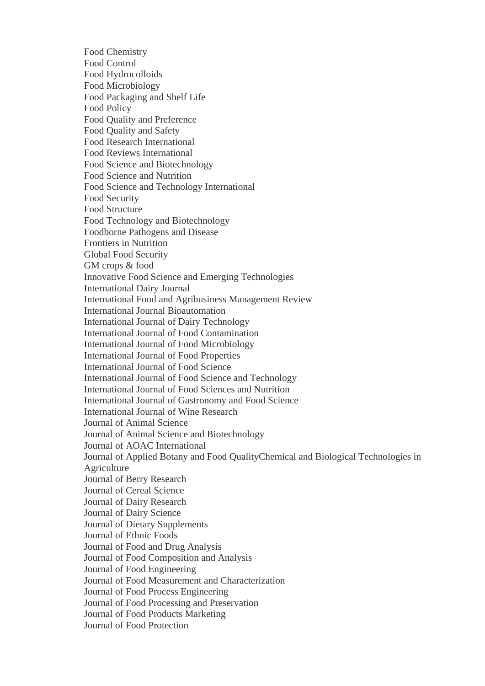[Food Chemistry](https://www.scopus.com/sourceid/24039?origin=sourceInfo&zone=refpointrank) [Food Control](https://www.scopus.com/sourceid/22577?origin=sourceInfo&zone=refpointrank) [Food Hydrocolloids](https://www.scopus.com/sourceid/22597?origin=sourceInfo&zone=refpointrank) [Food Microbiology](https://www.scopus.com/sourceid/19717?origin=sourceInfo&zone=refpointrank) Food [Packaging and Shelf Life](https://www.scopus.com/sourceid/21100285075?origin=sourceInfo&zone=refpointrank) [Food Policy](https://www.scopus.com/sourceid/35048?origin=sourceInfo&zone=refpointrank) [Food Quality and Preference](https://www.scopus.com/sourceid/23161?origin=sourceInfo&zone=refpointrank) [Food Quality and Safety](https://www.scopus.com/sourceid/21100901842?origin=sourceInfo&zone=refpointrank) [Food Research International](https://www.scopus.com/sourceid/23180?origin=sourceInfo&zone=refpointrank) [Food Reviews International](https://www.scopus.com/sourceid/23182?origin=sourceInfo&zone=refpointrank) [Food Science and Biotechnology](https://www.scopus.com/sourceid/12100154903?origin=sourceInfo&zone=refpointrank) [Food Science and Nutrition](https://www.scopus.com/sourceid/21100464557?origin=sourceInfo&zone=refpointrank) [Food Science and Technology International](https://www.scopus.com/sourceid/23189?origin=sourceInfo&zone=refpointrank) [Food Security](https://www.scopus.com/sourceid/19500157549?origin=sourceInfo&zone=refpointrank) [Food Structure](https://www.scopus.com/sourceid/21100285057?origin=sourceInfo&zone=refpointrank) [Food Technology and Biotechnology](https://www.scopus.com/sourceid/15632?origin=sourceInfo&zone=refpointrank) [Foodborne Pathogens and Disease](https://www.scopus.com/sourceid/130015?origin=sourceInfo&zone=refpointrank) [Frontiers in Nutrition](https://www.scopus.com/sourceid/21100913479?origin=sourceInfo&zone=refpointrank) [Global Food Security](https://www.scopus.com/sourceid/21100218328?origin=sourceInfo&zone=refpointrank) [GM crops & food](https://www.scopus.com/sourceid/21100216575?origin=sourceInfo&zone=refpointrank) [Innovative Food Science and Emerging Technologies](https://www.scopus.com/sourceid/20058?origin=sourceInfo&zone=refpointrank) [International Dairy](https://www.scopus.com/sourceid/51565?origin=sourceInfo&zone=refpointrank) Journal [International Food and Agribusiness Management Review](https://www.scopus.com/sourceid/91636?origin=sourceInfo&zone=refpointrank) [International Journal Bioautomation](https://www.scopus.com/sourceid/19900193629?origin=sourceInfo&zone=refpointrank) [International Journal of Dairy Technology](https://www.scopus.com/sourceid/98012?origin=sourceInfo&zone=refpointrank) [International Journal of Food Contamination](https://www.scopus.com/sourceid/21100873942?origin=sourceInfo&zone=refpointrank) [International Journal of Food Microbiology](https://www.scopus.com/sourceid/19760?origin=sourceInfo&zone=refpointrank) [International Journal of Food Properties](https://www.scopus.com/sourceid/29501?origin=sourceInfo&zone=refpointrank) [International Journal of Food Science](https://www.scopus.com/sourceid/21100466403?origin=sourceInfo&zone=refpointrank) [International Journal of Food Science and Technology](https://www.scopus.com/sourceid/20115?origin=sourceInfo&zone=refpointrank) [International Journal of Food Sciences and Nutrition](https://www.scopus.com/sourceid/12676?origin=sourceInfo&zone=refpointrank) [International Journal of Gastronomy and Food Science](https://www.scopus.com/sourceid/21100789945?origin=sourceInfo&zone=refpointrank) [International Journal of Wine Research](https://www.scopus.com/sourceid/21100201525?origin=sourceInfo&zone=refpointrank) [Journal of Animal Science](https://www.scopus.com/sourceid/35941?origin=sourceInfo&zone=refpointrank) [Journal of Animal Science and Biotechnology](https://www.scopus.com/sourceid/21100286975?origin=sourceInfo&zone=refpointrank) [Journal of AOAC International](https://www.scopus.com/sourceid/23412?origin=sourceInfo&zone=refpointrank) [Journal of Applied Botany and Food QualityChemical and Biological Technologies in](https://www.scopus.com/sourceid/98776?origin=sourceInfo&zone=refpointrank)  [Agriculture](https://www.scopus.com/sourceid/21100794828?origin=sourceInfo&zone=refpointrank) [Journal of Berry Research](https://www.scopus.com/sourceid/21100244628?origin=sourceInfo&zone=refpointrank) [Journal of Cereal Science](https://www.scopus.com/sourceid/34814?origin=sourceInfo&zone=refpointrank) [Journal of Dairy Research](https://www.scopus.com/sourceid/39098?origin=sourceInfo&zone=refpointrank) [Journal of Dairy Science](https://www.scopus.com/sourceid/32795?origin=sourceInfo&zone=refpointrank) [Journal of Dietary Supplements](https://www.scopus.com/sourceid/14200154729?origin=sourceInfo&zone=refpointrank) [Journal of Ethnic Foods](https://www.scopus.com/sourceid/21100388307?origin=sourceInfo&zone=refpointrank) [Journal of Food and Drug Analysis](https://www.scopus.com/sourceid/20578?origin=sourceInfo&zone=refpointrank) [Journal of Food Composition and Analysis](https://www.scopus.com/sourceid/20582?origin=sourceInfo&zone=refpointrank) [Journal of Food Engineering](https://www.scopus.com/sourceid/20586?origin=sourceInfo&zone=refpointrank) [Journal of Food Measurement and Characterization](https://www.scopus.com/sourceid/21100224010?origin=sourceInfo&zone=refpointrank) [Journal of Food Process Engineering](https://www.scopus.com/sourceid/20589?origin=sourceInfo&zone=refpointrank) [Journal of Food Processing and Preservation](https://www.scopus.com/sourceid/20590?origin=sourceInfo&zone=refpointrank) [Journal of Food Products Marketing](https://www.scopus.com/sourceid/20607?origin=sourceInfo&zone=refpointrank) [Journal of Food Protection](https://www.scopus.com/sourceid/20610?origin=sourceInfo&zone=refpointrank)